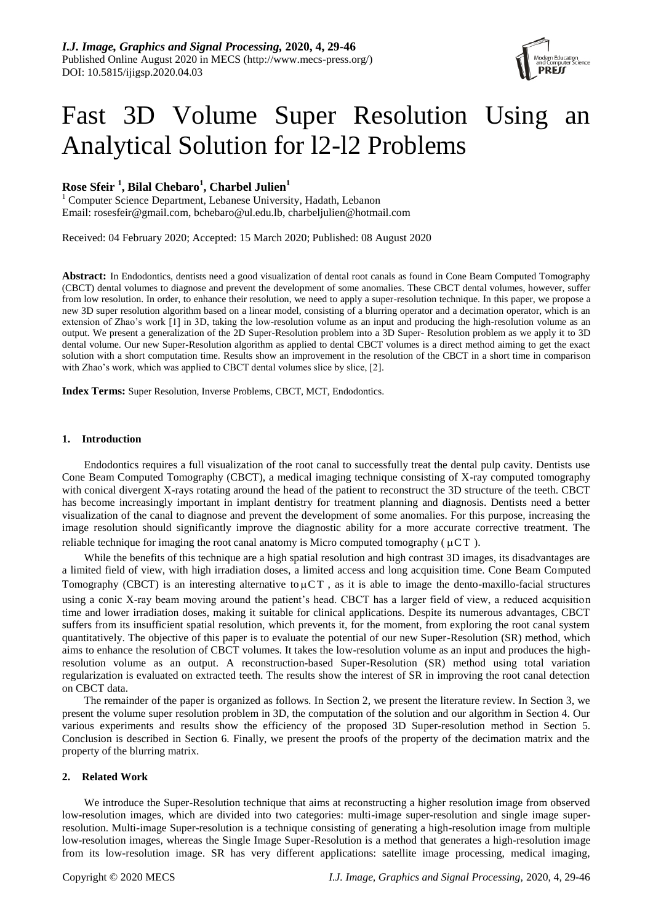# Fast 3D Volume Super Resolution Using an Analytical Solution for l2-l2 Problems

## **Rose Sfeir <sup>1</sup> , Bilal Chebaro<sup>1</sup> , Charbel Julien<sup>1</sup>**

<sup>1</sup> Computer Science Department, Lebanese University, Hadath, Lebanon Email: [rosesfeir@gmail.com,](mailto:rosesfeir@gmail.com) [bchebaro@ul.edu.lb,](mailto:bchebaro@ul.edu.lb) [charbeljulien@hotmail.com](mailto:charbeljulien@hotmail.com)

Received: 04 February 2020; Accepted: 15 March 2020; Published: 08 August 2020

**Abstract:** In Endodontics, dentists need a good visualization of dental root canals as found in Cone Beam Computed Tomography (CBCT) dental volumes to diagnose and prevent the development of some anomalies. These CBCT dental volumes, however, suffer from low resolution. In order, to enhance their resolution, we need to apply a super-resolution technique. In this paper, we propose a new 3D super resolution algorithm based on a linear model, consisting of a blurring operator and a decimation operator, which is an extension of Zhao's work [1] in 3D, taking the low-resolution volume as an input and producing the high-resolution volume as an output. We present a generalization of the 2D Super-Resolution problem into a 3D Super- Resolution problem as we apply it to 3D dental volume. Our new Super-Resolution algorithm as applied to dental CBCT volumes is a direct method aiming to get the exact solution with a short computation time. Results show an improvement in the resolution of the CBCT in a short time in comparison with Zhao's work, which was applied to CBCT dental volumes slice by slice, [2].

**Index Terms:** Super Resolution, Inverse Problems, CBCT, MCT, Endodontics.

## **1. Introduction**

Endodontics requires a full visualization of the root canal to successfully treat the dental pulp cavity. Dentists use Cone Beam Computed Tomography (CBCT), a medical imaging technique consisting of X-ray computed tomography with conical divergent X-rays rotating around the head of the patient to reconstruct the 3D structure of the teeth. CBCT has become increasingly important in implant dentistry for treatment planning and diagnosis. Dentists need a better visualization of the canal to diagnose and prevent the development of some anomalies. For this purpose, increasing the image resolution should significantly improve the diagnostic ability for a more accurate corrective treatment. The reliable technique for imaging the root canal anatomy is Micro computed tomography ( $\mu$ CT).

While the benefits of this technique are a high spatial resolution and high contrast 3D images, its disadvantages are a limited field of view, with high irradiation doses, a limited access and long acquisition time. Cone Beam Computed Tomography (CBCT) is an interesting alternative to  $\mu$ CT, as it is able to image the dento-maxillo-facial structures using a conic X-ray beam moving around the patient's head. CBCT has a larger field of view, a reduced acquisition time and lower irradiation doses, making it suitable for clinical applications. Despite its numerous advantages, CBCT suffers from its insufficient spatial resolution, which prevents it, for the moment, from exploring the root canal system quantitatively. The objective of this paper is to evaluate the potential of our new Super-Resolution (SR) method, which aims to enhance the resolution of CBCT volumes. It takes the low-resolution volume as an input and produces the highresolution volume as an output. A reconstruction-based Super-Resolution (SR) method using total variation regularization is evaluated on extracted teeth. The results show the interest of SR in improving the root canal detection on CBCT data.

The remainder of the paper is organized as follows. In Section 2, we present the literature review. In Section 3, we present the volume super resolution problem in 3D, the computation of the solution and our algorithm in Section 4. Our various experiments and results show the efficiency of the proposed 3D Super-resolution method in Section 5. Conclusion is described in Section 6. Finally, we present the proofs of the property of the decimation matrix and the property of the blurring matrix.

## **2. Related Work**

We introduce the Super-Resolution technique that aims at reconstructing a higher resolution image from observed low-resolution images, which are divided into two categories: multi-image super-resolution and single image superresolution. Multi-image Super-resolution is a technique consisting of generating a high-resolution image from multiple low-resolution images, whereas the Single Image Super-Resolution is a method that generates a high-resolution image from its low-resolution image. SR has very different applications: satellite image processing, medical imaging,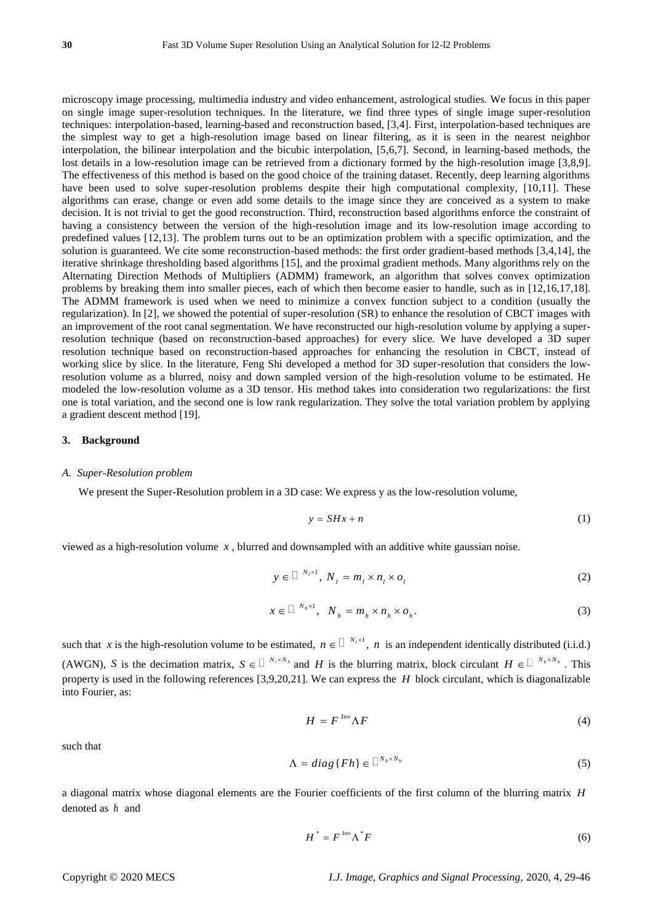microscopy image processing, multimedia industry and video enhancement, astrological studies. We focus in this paper on single image super-resolution techniques. In the literature, we find three types of single image super-resolution techniques: interpolation-based, learning-based and reconstruction based, [3,4]. First, interpolation-based techniques are the simplest way to get a high-resolution image based on linear filtering, as it is seen in the nearest neighbor interpolation, the bilinear interpolation and the bicubic interpolation, [5,6,7]. Second, in learning-based methods, the lost details in a low-resolution image can be retrieved from a dictionary formed by the high-resolution image [3,8,9]. The effectiveness of this method is based on the good choice of the training dataset. Recently, deep learning algorithms have been used to solve super-resolution problems despite their high computational complexity, [10,11]. These algorithms can erase, change or even add some details to the image since they are conceived as a system to make decision. It is not trivial to get the good reconstruction. Third, reconstruction based algorithms enforce the constraint of having a consistency between the version of the high-resolution image and its low-resolution image according to predefined values [12,13]. The problem turns out to be an optimization problem with a specific optimization, and the solution is guaranteed. We cite some reconstruction-based methods: the first order gradient-based methods [3,4,14], the iterative shrinkage thresholding based algorithms [15], and the proximal gradient methods. Many algorithms rely on the Alternating Direction Methods of Multipliers (ADMM) framework, an algorithm that solves convex optimization problems by breaking them into smaller pieces, each of which then become easier to handle, such as in [12,16,17,18]. The ADMM framework is used when we need to minimize a convex function subject to a condition (usually the regularization). In [2], we showed the potential of super-resolution (SR) to enhance the resolution of CBCT images with an improvement of the root canal segmentation. We have reconstructed our high-resolution volume by applying a superresolution technique (based on reconstruction-based approaches) for every slice. We have developed a 3D super resolution technique based on reconstruction-based approaches for enhancing the resolution in CBCT, instead of working slice by slice. In the literature, Feng Shi developed a method for 3D super-resolution that considers the lowresolution volume as a blurred, noisy and down sampled version of the high-resolution volume to be estimated. He modeled the low-resolution volume as a 3D tensor. His method takes into consideration two regularizations: the first one is total variation, and the second one is low rank regularization. They solve the total variation problem by applying a gradient descent method [19].

#### **3. Background**

#### *A. Super-Resolution problem*

We present the Super-Resolution problem in a 3D case: We express y as the low-resolution volume,

$$
y = SHx + n \tag{1}
$$

viewed as a high-resolution volume *x* , blurred and downsampled with an additive white gaussian noise.

$$
y \in \mathbb{D}^{N_t \times 1}, N_t = m_t \times n_t \times o_t \tag{2}
$$

$$
x \in \mathbb{D}^{N_h \times 1}, \quad N_h = m_h \times n_h \times o_h. \tag{3}
$$

such that x is the high-resolution volume to be estimated,  $n \in \Box^{N_1 \times 1}$ , n is an independent identically distributed (i.i.d.) (AWGN), S is the decimation matrix,  $S \in \Box^{N_i \times N_h}$  and H is the blurring matrix, block circulant  $H \in \Box^{N_h \times N_h}$ . This property is used in the following references [3,9,20,21]. We can express the *H* block circulant, which is diagonalizable into Fourier, as:

$$
H = F^{\, \text{Inv}} \Lambda F \tag{4}
$$

such that

$$
\Lambda = diag\{Fh\} \in \Box^{N_h \times N_h} \tag{5}
$$

a diagonal matrix whose diagonal elements are the Fourier coefficients of the first column of the blurring matrix *H* denoted as *h* and

$$
H^* = F^{Inv} \Lambda^* F \tag{6}
$$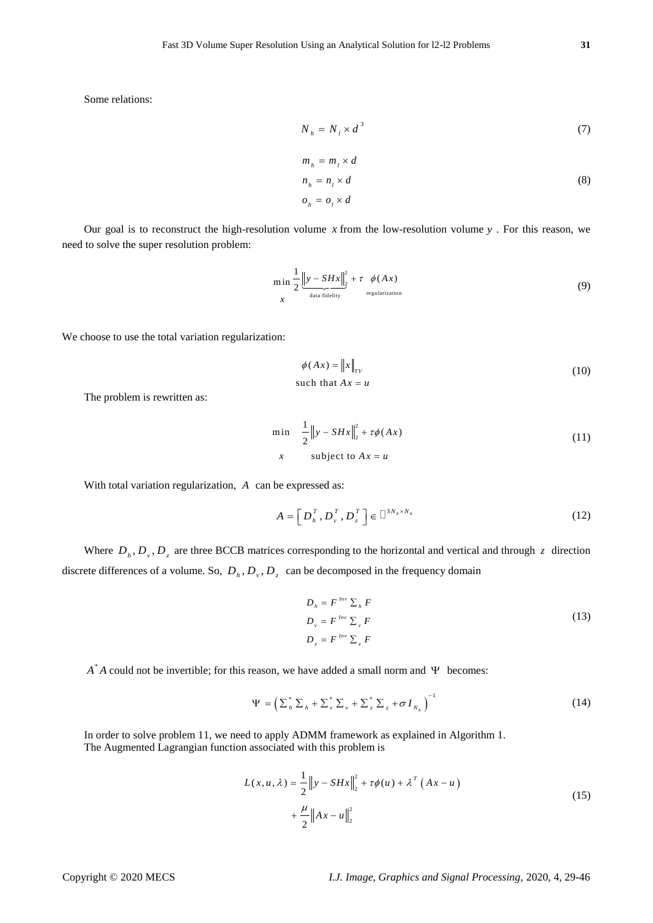Some relations:

$$
N_h = N_l \times d^3 \tag{7}
$$

$$
m_h = m_l \times d
$$
  
\n
$$
n_h = n_l \times d
$$
  
\n
$$
o_h = o_l \times d
$$
\n(8)

Our goal is to reconstruct the high-resolution volume  $x$  from the low-resolution volume  $y$ . For this reason, we need to solve the super resolution problem:

$$
\min_{x} \frac{1}{2} \frac{\left\|y - SHx\right\|_{2}^{2}}{\frac{d}{\text{data fidelity}}} + \tau \quad \phi(Ax)
$$
\n(9)

We choose to use the total variation regularization:

$$
\phi(Ax) = \|x\|_{TV}
$$
  
such that  $Ax = u$  (10)

The problem is rewritten as:

$$
\min \quad \frac{1}{2} \|y - SHx\|_{2}^{2} + \tau \phi(Ax)
$$
\n
$$
x \quad \text{subject to } Ax = u
$$
\n
$$
(11)
$$

With total variation regularization, *A* can be expressed as:

$$
A = \left[D_n^T, D_v^T, D_z^T\right] \in \left[\right]^{3N_h \times N_h}
$$
\n(12)

Where  $D_h$ ,  $D_v$ ,  $D_z$  are three BCCB matrices corresponding to the horizontal and vertical and through z direction discrete differences of a volume. So,  $D_h$ ,  $D_v$ ,  $D_z$  can be decomposed in the frequency domain

$$
D_h = F^{Inv} \sum_h F
$$
  
\n
$$
D_v = F^{Inv} \sum_v F
$$
  
\n
$$
D_z = F^{Inv} \sum_z F
$$
 (13)

 $A^*A$  could not be invertible; for this reason, we have added a small norm and  $\Psi$  becomes:

$$
\Psi = \left(\sum_{h}^{*} \sum_{h} + \sum_{v}^{*} \sum_{v} + \sum_{z}^{*} \sum_{z} + \sigma I_{N_{h}}\right)^{-1}
$$
\n(14)

In order to solve problem 11, we need to apply ADMM framework as explained in Algorithm 1. The Augmented Lagrangian function associated with this problem is

$$
L(x, u, \lambda) = \frac{1}{2} \|y - SHx\|_{2}^{2} + \tau \phi(u) + \lambda^{T} (Ax - u)
$$
  
+ 
$$
\frac{\mu}{2} \|Ax - u\|_{2}^{2}
$$
 (15)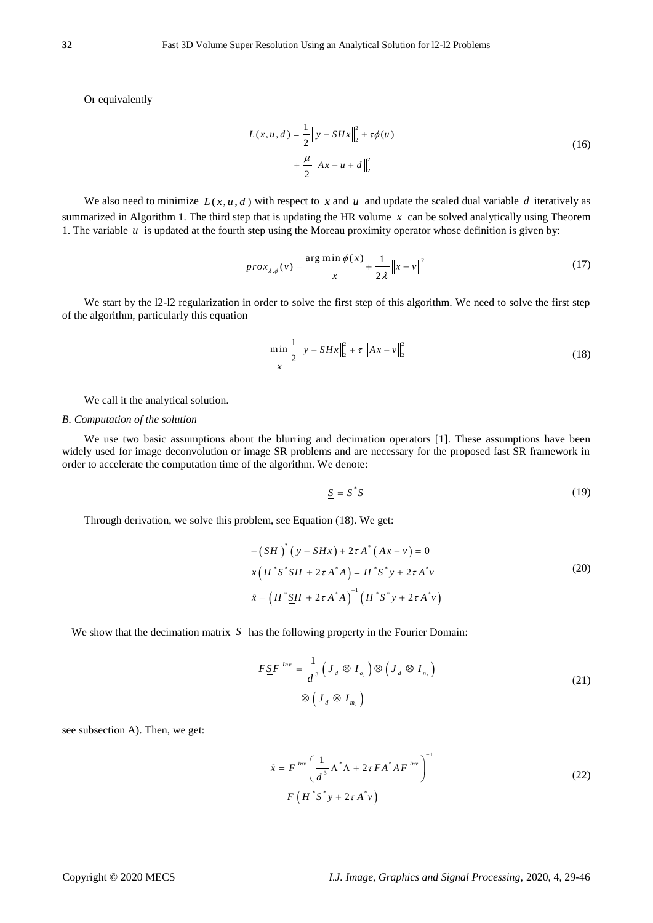Or equivalently

$$
L(x, u, d) = \frac{1}{2} \|y - SHx\|_2^2 + \tau \phi(u)
$$
  
+  $\frac{\mu}{2} \|Ax - u + d\|_2^2$  (16)

We also need to minimize  $L(x, u, d)$  with respect to x and u and update the scaled dual variable d iteratively as summarized in Algorithm 1. The third step that is updating the HR volume *x* can be solved analytically using Theorem 1. The variable  $u$  is updated at the fourth step using the Moreau proximity operator whose definition is given by:

$$
prox_{\lambda,\phi}(v) = \frac{\arg\min_{x} \phi(x)}{x} + \frac{1}{2\lambda} ||x - v||^2
$$
 (17)

We start by the 12-12 regularization in order to solve the first step of this algorithm. We need to solve the first step of the algorithm, particularly this equation

$$
\min_{x} \frac{1}{2} \|y - SHx\|_{2}^{2} + \tau \|Ax - v\|_{2}^{2}
$$
\n(18)

We call it the analytical solution.

#### *B. Computation of the solution*

We use two basic assumptions about the blurring and decimation operators [1]. These assumptions have been widely used for image deconvolution or image SR problems and are necessary for the proposed fast SR framework in order to accelerate the computation time of the algorithm. We denote:

$$
\underline{S} = S^*S \tag{19}
$$

Through derivation, we solve this problem, see Equation (18). We get:

$$
-(SH)^{*}(y - SHx) + 2\tau A^{*}(Ax - v) = 0
$$
  

$$
x(H^{*}S^{*}SH + 2\tau A^{*}A) = H^{*}S^{*}y + 2\tau A^{*}v
$$
  

$$
\hat{x} = (H^{*}\underline{SH} + 2\tau A^{*}A)^{-1}(H^{*}S^{*}y + 2\tau A^{*}v)
$$
 (20)

We show that the decimation matrix S has the following property in the Fourier Domain:

$$
F \underline{S} F^{Inv} = \frac{1}{d^3} \Big( J_d \otimes I_{o_i} \Big) \otimes \Big( J_d \otimes I_{n_i} \Big)
$$
  
 
$$
\otimes \Big( J_d \otimes I_{m_i} \Big)
$$
 (21)

see subsection A). Then, we get:

$$
\hat{x} = F^{Inv} \left( \frac{1}{d^3} \Delta^* \Delta + 2 \tau F A^* A F^{Inv} \right)^{-1}
$$
  
 
$$
F \left( H^* S^* y + 2 \tau A^* v \right)
$$
 (22)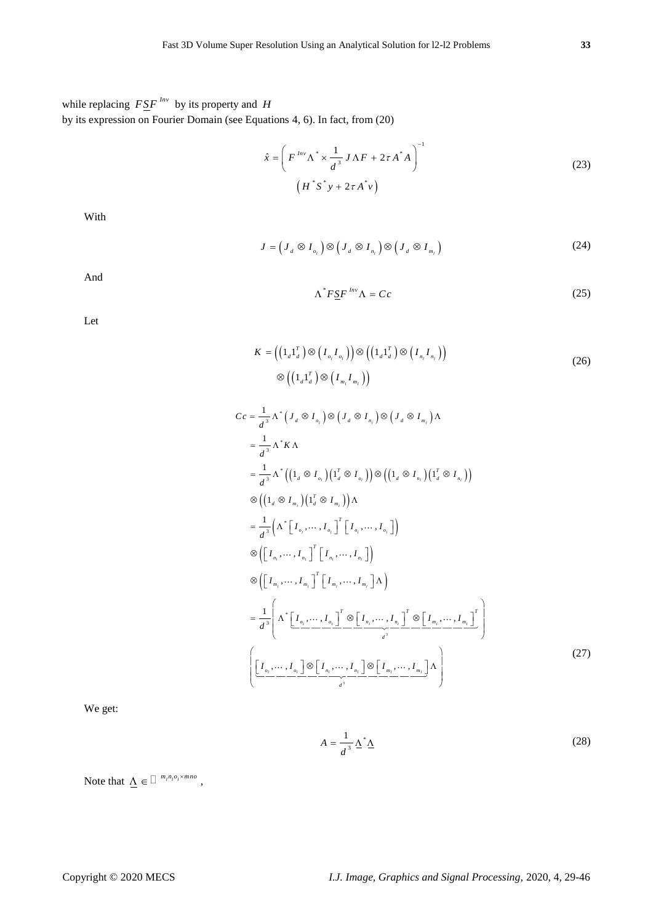while replacing  $F \leq F^{Inv}$  by its property and *H* by its expression on Fourier Domain (see Equations 4, 6). In fact, from (20)

$$
\hat{x} = \left(F^{Inv}\Lambda^* \times \frac{1}{d^3} J\Lambda F + 2\tau A^* A\right)^{-1}
$$
\n
$$
(23)
$$
\n
$$
(H^*S^* y + 2\tau A^* v)
$$

1

With

 $J = (J_d \otimes I_{o_i}) \otimes (J_d \otimes I_{n_i}) \otimes (J_d \otimes I_{m_i})$  (24)

And

$$
\Lambda^* F \underline{S} F^{Inv} \Lambda = Cc \tag{25}
$$

Let

$$
K = \left( \left( 1_d 1_d^T \right) \otimes \left( I_{o_i} I_{o_i} \right) \right) \otimes \left( \left( 1_d 1_d^T \right) \otimes \left( I_{n_i} I_{n_i} \right) \right) \n\otimes \left( \left( 1_d 1_d^T \right) \otimes \left( I_{m_i} I_{m_i} \right) \right)
$$
\n(26)

$$
Cc = \frac{1}{d^3} \Lambda^* (J_d \otimes I_{o_i}) \otimes (J_d \otimes I_{n_i}) \otimes (J_d \otimes I_{m_i}) \Lambda
$$
  
\n
$$
= \frac{1}{d^3} \Lambda^* K \Lambda
$$
  
\n
$$
= \frac{1}{d^3} \Lambda^* ((1_d \otimes I_{o_i}) (1_d^T \otimes I_{o_i})) \otimes ((1_d \otimes I_{n_i}) (1_d^T \otimes I_{n_i}))
$$
  
\n
$$
\otimes ((1_d \otimes I_{m_i}) (1_d^T \otimes I_{m_i})) \Lambda
$$
  
\n
$$
= \frac{1}{d^3} (\Lambda^* [I_{o_i}, \dots, I_{o_i}]^T [I_{o_i}, \dots, I_{o_i}])
$$
  
\n
$$
\otimes ([I_{n_i}, \dots, I_{n_i}]^T [I_{n_i}, \dots, I_{n_i}])
$$
  
\n
$$
\otimes ([I_{n_i}, \dots, I_{n_i}]^T [I_{n_i}, \dots, I_{n_i}])
$$
  
\n
$$
= \frac{1}{d^3} \left( \Lambda^* [I_{o_i}, \dots, I_{o_i}]^T \otimes [I_{n_i}, \dots, I_{n_i}]^T \otimes [I_{m_i}, \dots, I_{n_i}]^T \right)
$$
  
\n
$$
\left[ \underbrace{[I_{o_i}, \dots, I_{o_i}]} \otimes [I_{n_i}, \dots, I_{n_i}] \otimes [I_{m_i}, \dots, I_{m_i}]^T \Lambda \right)
$$
  
\n(27)

We get:

$$
A = \frac{1}{d^3} \Delta^* \Delta \tag{28}
$$

Note that  $\Lambda \in \Box^{m_l n_l o_l \times m n o}$ ,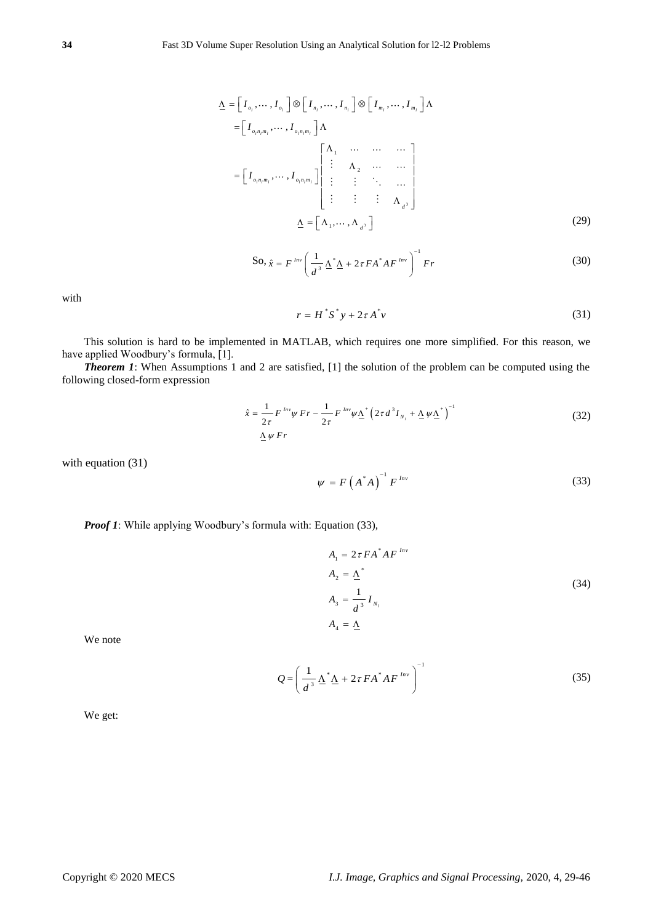$$
\underline{\Lambda} = \begin{bmatrix} I_{o_1}, \dots, I_{o_r} \end{bmatrix} \otimes \begin{bmatrix} I_{n_1}, \dots, I_{n_r} \end{bmatrix} \otimes \begin{bmatrix} I_{m_1}, \dots, I_{m_r} \end{bmatrix} \Lambda
$$
  
\n
$$
= \begin{bmatrix} I_{o_1 n_1 m_1}, \dots, I_{o_r n_r m_r} \end{bmatrix} \Lambda
$$
  
\n
$$
= \begin{bmatrix} \Lambda_1 & \dots & \dots & \dots \\ \vdots & \Lambda_2 & \dots & \dots \\ \vdots & \vdots & \ddots & \dots \\ \vdots & \vdots & \vdots & \Lambda_{d^3} \end{bmatrix}
$$
  
\n
$$
\underline{\Lambda} = \begin{bmatrix} \Lambda_1, \dots, \Lambda_{d^3} \end{bmatrix}
$$
 (29)

$$
\text{So, } \hat{x} = F^{Inv} \left( \frac{1}{d^3} \Delta^* \Delta + 2\tau F A^* A F^{Inv} \right)^{-1} F r \tag{30}
$$

with

$$
r = H^* S^* y + 2\tau A^* v \tag{31}
$$

This solution is hard to be implemented in MATLAB, which requires one more simplified. For this reason, we have applied Woodbury's formula, [1].

*Theorem 1*: When Assumptions 1 and 2 are satisfied, [1] the solution of the problem can be computed using the following closed-form expression

$$
\hat{x} = \frac{1}{2\tau} F^{lnv} \psi \ Fr - \frac{1}{2\tau} F^{lnv} \psi \underline{\Lambda}^* \left( 2\tau d^3 I_{N_l} + \underline{\Lambda} \psi \underline{\Lambda}^* \right)^{-1}
$$
\n
$$
\underline{\Lambda} \psi \ Fr \tag{32}
$$

with equation (31)

$$
\psi = F\left(A^*A\right)^{-1}F^{Inv} \tag{33}
$$

*Proof 1*: While applying Woodbury's formula with: Equation (33),

$$
A_1 = 2\tau FA^*AF^{Inv}
$$
  
\n
$$
A_2 = \underline{\Lambda}^*
$$
  
\n
$$
A_3 = \frac{1}{d^3} I_{N_1}
$$
  
\n
$$
A_4 = \underline{\Lambda}
$$
\n(34)

We note

$$
Q = \left(\frac{1}{d^3} \Delta^* \Delta + 2\tau FA^* AF^{Inv}\right)^{-1}
$$
 (35)

We get: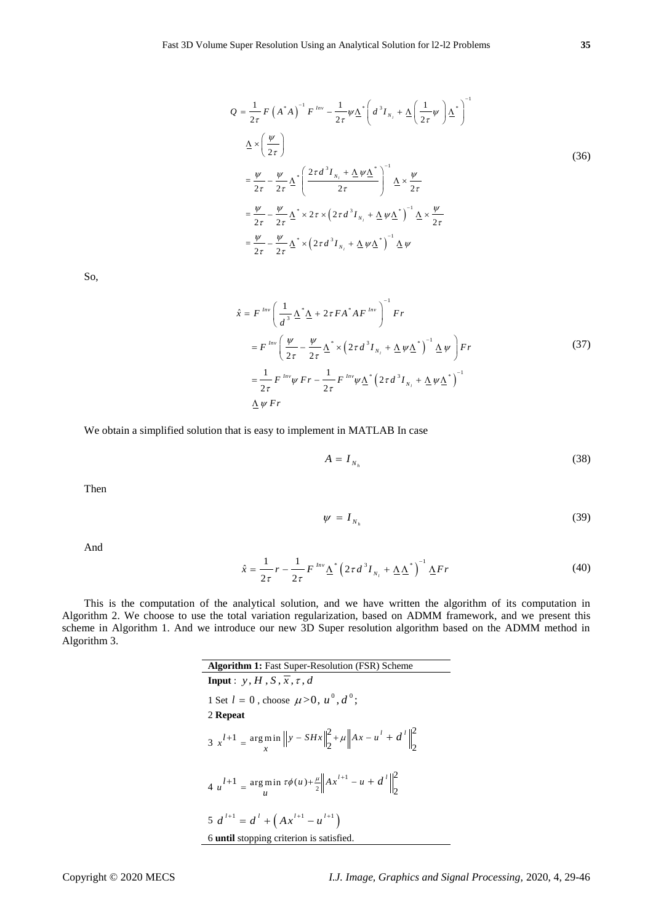$$
Q = \frac{1}{2\tau} F \left( A^* A \right)^{-1} F^{Inv} - \frac{1}{2\tau} \psi \underline{\Delta}^* \left( d^3 I_{N_t} + \underline{\Delta} \left( \frac{1}{2\tau} \psi \right) \underline{\Delta}^* \right)^{-1}
$$
  

$$
\underline{\Delta} \times \left( \frac{\psi}{2\tau} \right)
$$
  

$$
= \frac{\psi}{2\tau} - \frac{\psi}{2\tau} \underline{\Delta}^* \left( \frac{2\tau d^3 I_{N_t} + \underline{\Delta} \psi \underline{\Delta}^*}{2\tau} \right)^{-1} \underline{\Delta} \times \frac{\psi}{2\tau}
$$
  

$$
= \frac{\psi}{2\tau} - \frac{\psi}{2\tau} \underline{\Delta}^* \times 2\tau \times \left( 2\tau d^3 I_{N_t} + \underline{\Delta} \psi \underline{\Delta}^* \right)^{-1} \underline{\Delta} \times \frac{\psi}{2\tau}
$$
  

$$
= \frac{\psi}{2\tau} - \frac{\psi}{2\tau} \underline{\Delta}^* \times \left( 2\tau d^3 I_{N_t} + \underline{\Delta} \psi \underline{\Delta}^* \right)^{-1} \underline{\Delta} \psi
$$
  
(36)

So,

$$
\hat{x} = F^{\text{Inv}} \left( \frac{1}{d^3} \Delta^* \Delta + 2 \tau F A^* A F^{\text{Inv}} \right)^{-1} F r
$$
\n
$$
= F^{\text{Inv}} \left( \frac{\psi}{2\tau} - \frac{\psi}{2\tau} \Delta^* \times \left( 2 \tau d^3 I_{N_1} + \Delta \psi \Delta^* \right)^{-1} \Delta \psi \right) F r
$$
\n
$$
= \frac{1}{2\tau} F^{\text{Inv}} \psi F r - \frac{1}{2\tau} F^{\text{Inv}} \psi \Delta^* \left( 2 \tau d^3 I_{N_1} + \Delta \psi \Delta^* \right)^{-1}
$$
\n
$$
\Delta \psi F r
$$
\n(37)

We obtain a simplified solution that is easy to implement in MATLAB In case

$$
A = I_{N_h} \tag{38}
$$

Then

And

$$
f_{\rm{max}}(x)=\frac{1}{2}x
$$

 $\psi = I_{N_h}$  (39)

$$
\hat{x} = \frac{1}{2\tau}r - \frac{1}{2\tau}F^{Inv}\underline{\Lambda}^*\left(2\tau d^3I_{N_1} + \underline{\Lambda}\underline{\Lambda}^*\right)^{-1}\underline{\Lambda}Fr
$$
\n(40)

This is the computation of the analytical solution, and we have written the algorithm of its computation in Algorithm 2. We choose to use the total variation regularization, based on ADMM framework, and we present this scheme in Algorithm 1. And we introduce our new 3D Super resolution algorithm based on the ADMM method in Algorithm 3.

> **Algorithm 1:** Fast Super-Resolution (FSR) Scheme **Input** :  $y, H, S, \overline{x}, \tau, d$ 1 Set  $l = 0$ , choose  $\mu > 0$ ,  $u^0$ ,  $d^0$ ; 2 **Repeat**  $3 x^{l+1} = \underset{x}{\arg \min} \|y - SHx\|_2^2 + \mu \|Ax - u^l + d^l\|_2^2$  $\int_{x}^{l+1}$  =  $\argmin_{x}$   $||y - SHx||_2^2 + \mu ||Ax - u' + d'$  $4 u^{l+1} = \arg \min_{u \in \mathcal{U}} \tau \phi(u) + \frac{\mu}{2} \left\| A x^{l+1} \right\|$  $1 = \argmin_{u \in \mathcal{U}} \tau \phi(u) + \frac{u}{2} \left\| Ax^{l+1} - u + d^l \right\|_2^2$ 2  $u^{l+1} = \frac{\arg \min u \tau \phi(u) + \frac{u}{2}}{u} \left\| A x^{l+1} - u + d \right\}$  $5 d^{l+1} = d^l + (Ax^{l+1} - u^{l+1})$ 6 **until** stopping criterion is satisfied.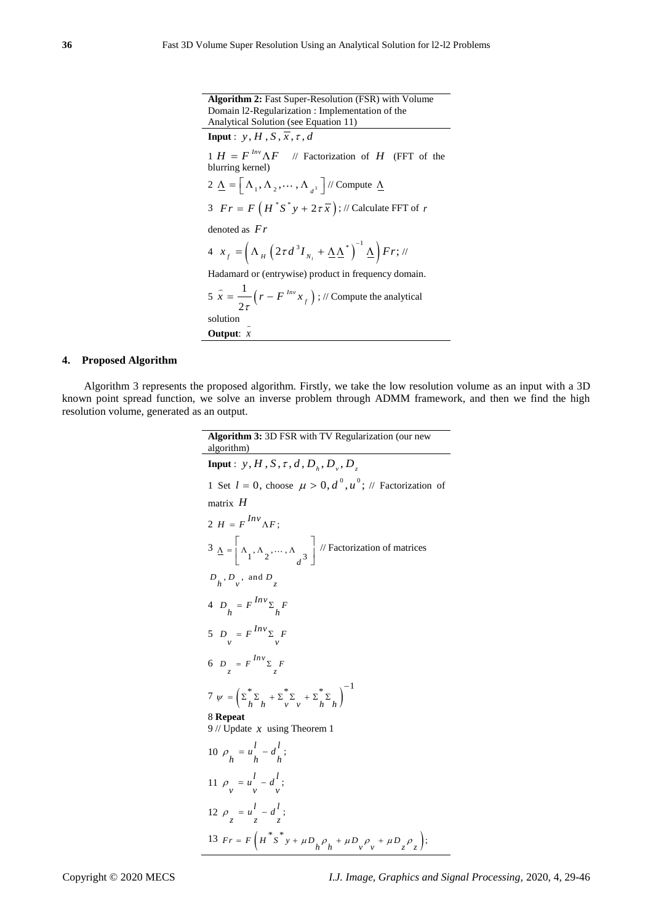**Algorithm 2:** Fast Super-Resolution (FSR) with Volume Domain l2-Regularization : Implementation of the Analytical Solution (see Equation 11) **Input** :  $y, H, S, \overline{x}, \tau, d$  $1 H = F^{Inv} \Lambda F$  // Factorization of *H* (FFT of the blurring kernel) 2  $\underline{\Lambda} = \left[ \Lambda_1, \Lambda_2, \cdots, \Lambda_{d^3} \right]$  // Compute  $\underline{\Lambda}$ 3  $Fr = F\left(H^*S^*y + 2\tau\overline{x}\right); \text{ // Calculate FFT of } r$ denoted as *Fr*  $4 x_{f} = \left( \Lambda_{H} \left( 2 \tau d^{3} I_{N_{i}} + \underline{\Lambda} \underline{\Lambda}^{*} \right)^{-1} \underline{\Lambda} \right) F r;$ Hadamard or (entrywise) product in frequency domain.  $5 x = -(r - F^{mv} x)$ 1 2 *Inv*  $\hat{x} = \frac{1}{2\tau} \left( r - F^{Inv} x_f \right)$ ; // Compute the analytical solution **Output**: *x*

## **4. Proposed Algorithm**

Algorithm 3 represents the proposed algorithm. Firstly, we take the low resolution volume as an input with a 3D known point spread function, we solve an inverse problem through ADMM framework, and then we find the high resolution volume, generated as an output.

Algorithm 3: 3D FSR with TV Regulation (our new  
\nalgorithm)  
\nInput: y, H, S, 
$$
\tau
$$
, d,  $D_h$ ,  $D_v$ ,  $D_z$   
\n1 Set  $l = 0$ , choose  $\mu > 0$ ,  $d^0$ ,  $u^0$ ; // Factorization of  
\nmatrix H  
\n2  $H = F^{Inv} \Delta F$ ;  
\n3  $\Delta = \begin{bmatrix} \Delta_1, \Delta_2, ..., \Delta_d, \\ \Delta_1, \Delta_2, ..., \Delta_d, \\ \Delta_2, \Delta_3 \end{bmatrix}$  // Factorization of matrices  
\n $D_h$ ,  $D_v$ , and  $D_z$   
\n4  $D_h = F^{Inv} \Sigma_h F$   
\n5  $D_v = F^{Inv} \Sigma_v F$   
\n6  $D_z = F^{Inv} \Sigma_z F$   
\n7  $\psi = (\Sigma_h^* \Sigma_h + \Sigma_v^* \Sigma_v + \Sigma_h^* \Sigma_h)^{-1}$   
\n8 Repeat  
\n9 // Update *x* using Theorem 1  
\n10  $\rho_h = u^l - d^l$ ;  
\n11  $\rho_v = u^l - d^l$ ;  
\n12  $\rho_z = u^l - d^l$ ;  
\n13  $Fr = F(H^* S^* y + \mu D_h \rho_h + \mu D_v \rho_v + \mu D_z \rho_z)$ ;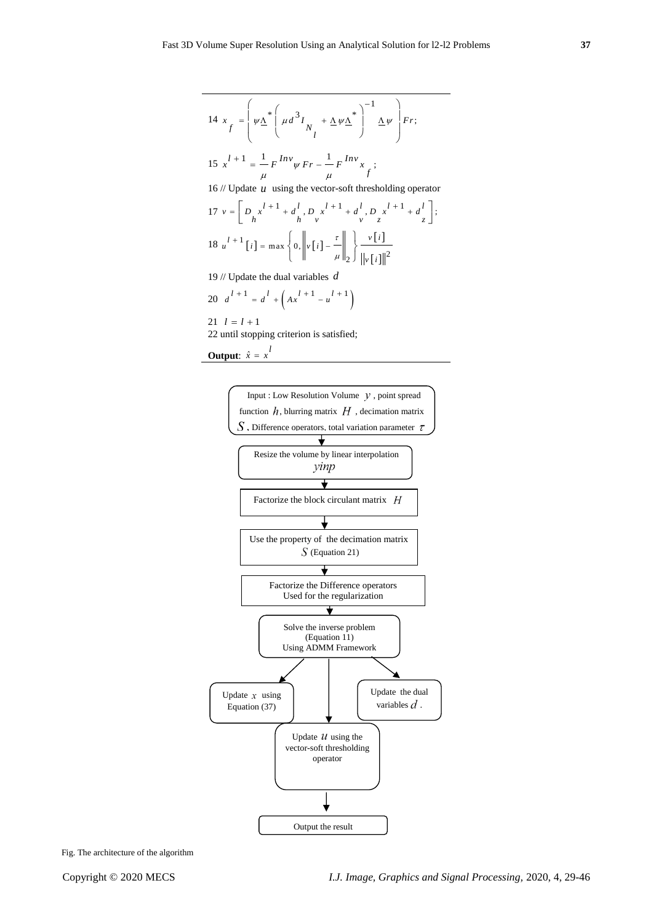$$
14 \ x_{f} = \left(\psi \underline{\Lambda}^{*} \left(\mu d^{3} I_{N} + \underline{\Lambda} \psi \underline{\Lambda}^{*}\right)^{-1} \underline{\Lambda} \psi\right) Fr;
$$
\n
$$
15 \ x^{l+1} = \frac{1}{\mu} F^{Inv} \psi Fr - \frac{1}{\mu} F^{Inv} x_{f};
$$
\n
$$
16 // Update u using the vector-soft thresholding operator
$$
\n
$$
17 \ v = \left[D_{h} x^{l+1} + d_{h}^{l}, D_{v} x^{l+1} + d_{v}^{l}, D_{z} x^{l+1} + d_{z}^{l}\right];
$$
\n
$$
18 \ u^{l+1} [i] = \max \left\{0, \left\|v[i] - \frac{\tau}{\mu}\right\|_{2}\right\} \frac{v[i]}{\|v[i]\|^{2}}
$$
\n
$$
19 // Update the dual variables d
$$
\n
$$
20 \ d^{l+1} = d^{l} + \left(Ax^{l+1} - u^{l+1}\right)
$$
\n
$$
21 \ l = l+1
$$

22 until stopping criterion is satisfied;

**Output:** 
$$
\hat{x} = x^l
$$



Fig. The architecture of the algorithm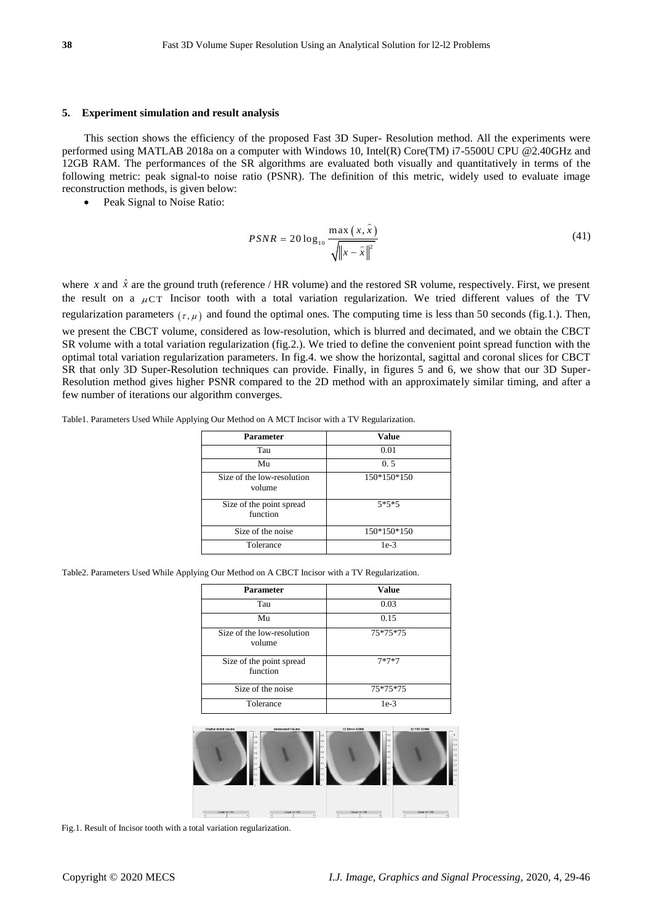#### **5. Experiment simulation and result analysis**

This section shows the efficiency of the proposed Fast 3D Super- Resolution method. All the experiments were performed using MATLAB 2018a on a computer with Windows 10, Intel(R) Core(TM) i7-5500U CPU @2.40GHz and 12GB RAM. The performances of the SR algorithms are evaluated both visually and quantitatively in terms of the following metric: peak signal-to noise ratio (PSNR). The definition of this metric, widely used to evaluate image reconstruction methods, is given below:

Peak Signal to Noise Ratio:

$$
PSNR = 20 \log_{10} \frac{\max(x, \hat{x})}{\sqrt{\left\|x - \hat{x}\right\|^2}}
$$
\n(41)

where x and  $\hat{x}$  are the ground truth (reference / HR volume) and the restored SR volume, respectively. First, we present the result on a  $\mu$ CT Incisor tooth with a total variation regularization. We tried different values of the TV regularization parameters  $(\tau, \mu)$  and found the optimal ones. The computing time is less than 50 seconds (fig.1.). Then, we present the CBCT volume, considered as low-resolution, which is blurred and decimated, and we obtain the CBCT

SR volume with a total variation regularization (fig.2.). We tried to define the convenient point spread function with the optimal total variation regularization parameters. In fig.4. we show the horizontal, sagittal and coronal slices for CBCT SR that only 3D Super-Resolution techniques can provide. Finally, in figures 5 and 6, we show that our 3D Super-Resolution method gives higher PSNR compared to the 2D method with an approximately similar timing, and after a few number of iterations our algorithm converges.

| <b>Parameter</b>                     | Value       |
|--------------------------------------|-------------|
| Tau                                  | 0.01        |
| Mu                                   | 0.5         |
| Size of the low-resolution<br>volume | 150*150*150 |
| Size of the point spread<br>function | $5*5*5$     |
| Size of the noise                    | 150*150*150 |
| Tolerance                            | $1e-3$      |

Table1. Parameters Used While Applying Our Method on A MCT Incisor with a TV Regularization.

Table2. Parameters Used While Applying Our Method on A CBCT Incisor with a TV Regularization.

| <b>Parameter</b>                     | Value    |
|--------------------------------------|----------|
| Tau                                  | 0.03     |
| Mu                                   | 0.15     |
| Size of the low-resolution<br>volume | 75*75*75 |
| Size of the point spread<br>function | $7*7*7$  |
| Size of the noise                    | 75*75*75 |
| Tolerance                            | $1e-3$   |



Fig.1. Result of Incisor tooth with a total variation regularization.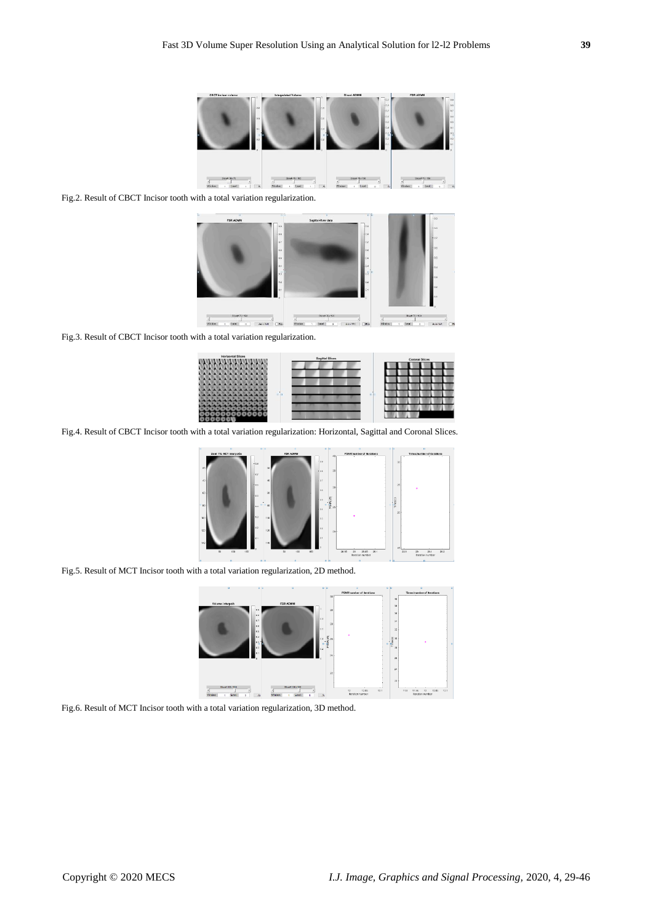

Fig.2. Result of CBCT Incisor tooth with a total variation regularization.



Fig.3. Result of CBCT Incisor tooth with a total variation regularization.



Fig.4. Result of CBCT Incisor tooth with a total variation regularization: Horizontal, Sagittal and Coronal Slices.



Fig.5. Result of MCT Incisor tooth with a total variation regularization, 2D method.



Fig.6. Result of MCT Incisor tooth with a total variation regularization, 3D method.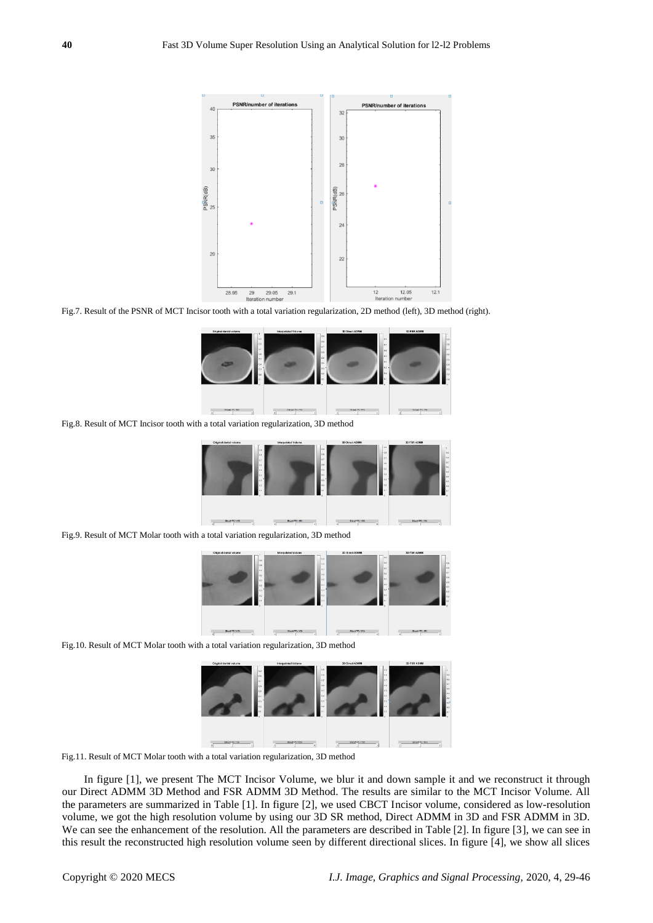

Fig.7. Result of the PSNR of MCT Incisor tooth with a total variation regularization, 2D method (left), 3D method (right).



Fig.8. Result of MCT Incisor tooth with a total variation regularization, 3D method



Fig.9. Result of MCT Molar tooth with a total variation regularization, 3D method



Fig.10. Result of MCT Molar tooth with a total variation regularization, 3D method



Fig.11. Result of MCT Molar tooth with a total variation regularization, 3D method

In figure [1], we present The MCT Incisor Volume, we blur it and down sample it and we reconstruct it through our Direct ADMM 3D Method and FSR ADMM 3D Method. The results are similar to the MCT Incisor Volume. All the parameters are summarized in Table [1]. In figure [2], we used CBCT Incisor volume, considered as low-resolution volume, we got the high resolution volume by using our 3D SR method, Direct ADMM in 3D and FSR ADMM in 3D. We can see the enhancement of the resolution. All the parameters are described in Table [2]. In figure [3], we can see in this result the reconstructed high resolution volume seen by different directional slices. In figure [4], we show all slices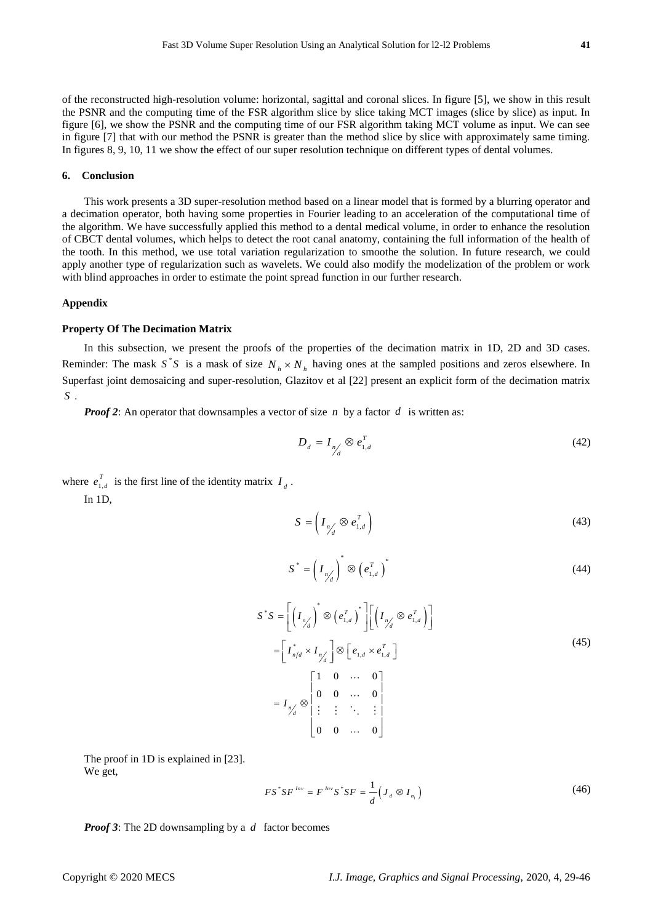## **6. Conclusion**

This work presents a 3D super-resolution method based on a linear model that is formed by a blurring operator and a decimation operator, both having some properties in Fourier leading to an acceleration of the computational time of the algorithm. We have successfully applied this method to a dental medical volume, in order to enhance the resolution of CBCT dental volumes, which helps to detect the root canal anatomy, containing the full information of the health of the tooth. In this method, we use total variation regularization to smoothe the solution. In future research, we could apply another type of regularization such as wavelets. We could also modify the modelization of the problem or work with blind approaches in order to estimate the point spread function in our further research.

#### **Appendix**

#### **Property Of The Decimation Matrix**

In this subsection, we present the proofs of the properties of the decimation matrix in 1D, 2D and 3D cases. Reminder: The mask  $S^*S$  is a mask of size  $N_h \times N_h$  having ones at the sampled positions and zeros elsewhere. In Superfast joint demosaicing and super-resolution, Glazitov et al [22] present an explicit form of the decimation matrix *S* .

*Proof 2*: An operator that downsamples a vector of size n by a factor d is written as:

$$
D_d = I_{n/d} \otimes e_{1,d}^T \tag{42}
$$

where  $e_{1}^{\prime}$ *T*  $e_{1,d}^{\prime}$  is the first line of the identity matrix  $I_d$ .

In 1D,

$$
S = \left(I_{\eta_d'} \otimes e_{1,d}^T\right) \tag{43}
$$

$$
S^* = \left(I_{n/}\right)^* \otimes \left(e_{1,d}^T\right)^* \tag{44}
$$

$$
S^*S = \left[ \left( I_{\eta'_d} \right)^* \otimes \left( e_{1,d}^T \right)^* \right] \left[ \left( I_{\eta'_d} \otimes e_{1,d}^T \right) \right]
$$
  
\n
$$
= \left[ I_{\eta/d}^* \times I_{\eta'_d} \right] \otimes \left[ e_{1,d} \times e_{1,d}^T \right]
$$
  
\n
$$
= I_{\eta'_d} \otimes \begin{bmatrix} 1 & 0 & \cdots & 0 \\ 0 & 0 & \cdots & 0 \\ \vdots & \vdots & \ddots & \vdots \\ 0 & 0 & \cdots & 0 \end{bmatrix}
$$
  
\n(45)

The proof in 1D is explained in [23]. We get,

$$
FS^*SF^{Inv} = F^{Inv}S^*SF = \frac{1}{d}(J_d \otimes I_{n_1})
$$
\n(46)

*Proof 3*: The 2D downsampling by a *d* factor becomes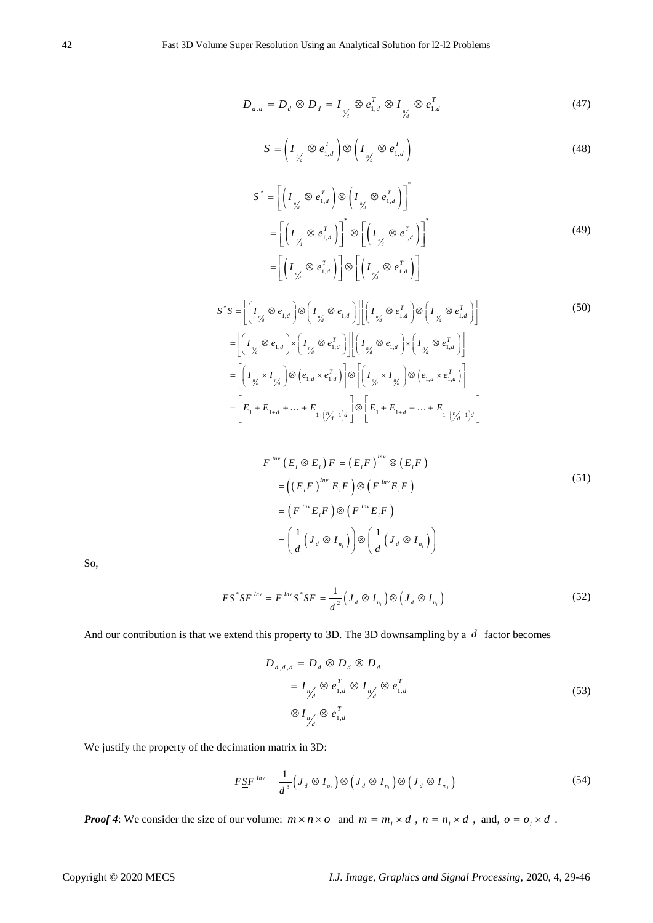$$
D_{d,d} = D_d \otimes D_d = I_{\gamma_d'} \otimes e_{1,d}^T \otimes I_{\gamma_d'} \otimes e_{1,d}^T
$$
 (47)

$$
S = \left(I_{\gamma_d'} \otimes e_{1,d}^T\right) \otimes \left(I_{\gamma_d'} \otimes e_{1,d}^T\right)
$$
\n(48)

$$
S^* = \left[ \left( I_{\gamma'_d} \otimes e_{1,d}^T \right) \otimes \left( I_{\gamma'_d} \otimes e_{1,d}^T \right) \right]^*
$$
  
\n
$$
= \left[ \left( I_{\gamma'_d} \otimes e_{1,d}^T \right) \right]^* \otimes \left[ \left( I_{\gamma'_d} \otimes e_{1,d}^T \right) \right]^*
$$
  
\n
$$
= \left[ \left( I_{\gamma'_d} \otimes e_{1,d}^T \right) \right] \otimes \left[ \left( I_{\gamma'_d} \otimes e_{1,d}^T \right) \right]
$$
  
\n(49)

$$
S^*S = \left[ \left( I_{\gamma_d} \otimes e_{1,d} \right) \otimes \left( I_{\gamma_d} \otimes e_{1,d} \right) \right] \left[ \left( I_{\gamma_d} \otimes e_{1,d}^T \right) \otimes \left( I_{\gamma_d} \otimes e_{1,d}^T \right) \right]
$$
\n
$$
= \left[ \left( I_{\gamma_d} \otimes e_{1,d} \right) \times \left( I_{\gamma_d} \otimes e_{1,d}^T \right) \right] \left[ \left( I_{\gamma_d} \otimes e_{1,d} \right) \times \left( I_{\gamma_d} \otimes e_{1,d}^T \right) \right]
$$
\n
$$
= \left[ \left( I_{\gamma_d} \otimes I_{\gamma_d} \right) \otimes \left( e_{1,d} \times e_{1,d}^T \right) \right] \otimes \left[ \left( I_{\gamma_d} \otimes I_{\gamma_d} \right) \otimes \left( e_{1,d} \times e_{1,d}^T \right) \right]
$$
\n
$$
= \left[ E_1 + E_{1+d} + \dots + E_{1+\left(\frac{n_d-1}{d}\right)d} \right] \otimes \left[ E_1 + E_{1+d} + \dots + E_{1+\left(\frac{n_d-1}{d}\right)d} \right]
$$
\n
$$
(50)
$$

$$
F^{\text{Inv}}(E_i \otimes E_i) F = (E_i F)^{\text{Inv}} \otimes (E_i F)
$$
  
= 
$$
((E_i F)^{\text{Inv}} E_i F) \otimes (F^{\text{Inv}} E_i F)
$$
  
= 
$$
(F^{\text{Inv}} E_i F) \otimes (F^{\text{Inv}} E_i F)
$$
  
= 
$$
\left(\frac{1}{d} (J_d \otimes I_{n_i})\right) \otimes \left(\frac{1}{d} (J_d \otimes I_{n_i})\right)
$$
 (51)

So,

$$
FS^* SF^{Inv} = F^{Inv} S^* SF = \frac{1}{d^2} \Big( J_d \otimes I_{n_l} \Big) \otimes \Big( J_d \otimes I_{n_l} \Big)
$$
 (52)

And our contribution is that we extend this property to 3D. The 3D downsampling by a *d* factor becomes

$$
D_{d,d,d} = D_d \otimes D_d \otimes D_d
$$
  
=  $I_{n/d} \otimes e_{1,d}^T \otimes I_{n/d} \otimes e_{1,d}^T$   

$$
\otimes I_{n/d} \otimes e_{1,d}^T
$$
 (53)

We justify the property of the decimation matrix in 3D:

$$
F \underline{S} F^{Inv} = \frac{1}{d^3} \Big( J_d \otimes I_{o_i} \Big) \otimes \Big( J_d \otimes I_{n_i} \Big) \otimes \Big( J_d \otimes I_{m_i} \Big) \tag{54}
$$

*Proof 4*: We consider the size of our volume:  $m \times n \times o$  and  $m = m_1 \times d$ ,  $n = n_1 \times d$ , and,  $o = o_1 \times d$ .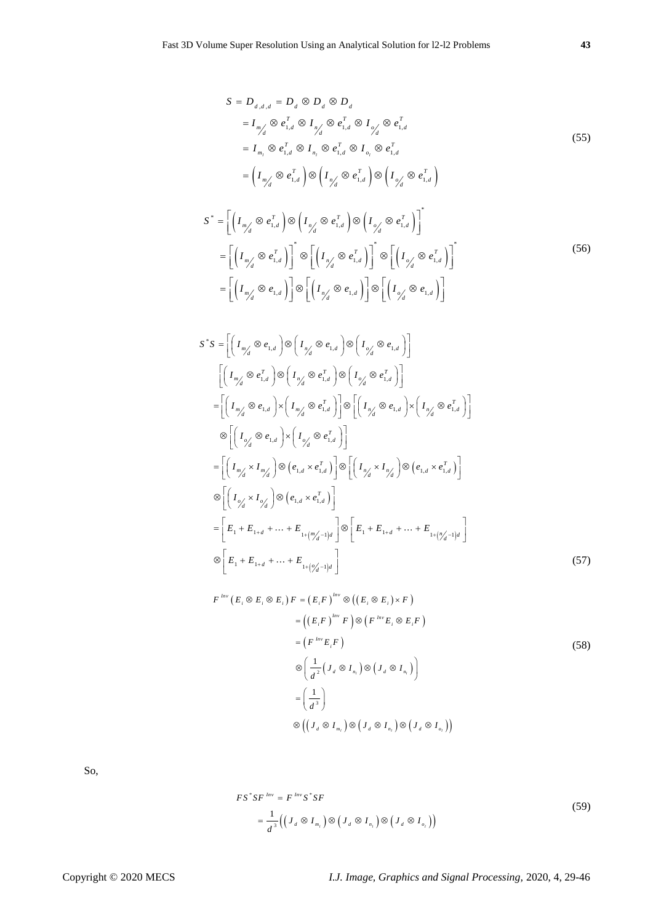$$
S = D_{d,d,d} = D_d \otimes D_d \otimes D_d
$$
  
\n
$$
= I_{m/d} \otimes e_{1,d}^T \otimes I_{n/d} \otimes e_{1,d}^T \otimes I_{o/d} \otimes e_{1,d}^T
$$
  
\n
$$
= I_{m_l} \otimes e_{1,d}^T \otimes I_{n_l} \otimes e_{1,d}^T \otimes I_{o_l} \otimes e_{1,d}^T
$$
  
\n
$$
= \left(I_{m/d} \otimes e_{1,d}^T\right) \otimes \left(I_{n/d} \otimes e_{1,d}^T\right) \otimes \left(I_{o/d} \otimes e_{1,d}^T\right)
$$
  
\n(55)

$$
S^* = \left[ \left( I_{m'_d} \otimes e_{1,d}^T \right) \otimes \left( I_{n'_d} \otimes e_{1,d}^T \right) \otimes \left( I_{n'_d} \otimes e_{1,d}^T \right) \right]^*
$$
  
\n
$$
= \left[ \left( I_{m'_d} \otimes e_{1,d}^T \right) \right]^* \otimes \left[ \left( I_{n'_d} \otimes e_{1,d}^T \right) \right]^* \otimes \left[ \left( I_{n'_d} \otimes e_{1,d}^T \right) \right]^*
$$
  
\n
$$
= \left[ \left( I_{m'_d} \otimes e_{1,d} \right) \right] \otimes \left[ \left( I_{n'_d} \otimes e_{1,d} \right) \right] \otimes \left[ \left( I_{n'_d} \otimes e_{1,d} \right) \right]
$$
  
\n(56)

$$
S^*S = \left[ \left( I_{m'_d} \otimes e_{1,d} \right) \otimes \left( I_{n'_d} \otimes e_{1,d} \right) \otimes \left( I_{o'_d} \otimes e_{1,d} \right) \right]
$$
  
\n
$$
\left[ \left( I_{m'_d} \otimes e_{1,d}^T \right) \otimes \left( I_{n'_d} \otimes e_{1,d}^T \right) \otimes \left( I_{o'_d} \otimes e_{1,d}^T \right) \right]
$$
  
\n
$$
= \left[ \left( I_{m'_d} \otimes e_{1,d} \right) \times \left( I_{m'_d} \otimes e_{1,d}^T \right) \right] \otimes \left[ \left( I_{n'_d} \otimes e_{1,d} \right) \times \left( I_{n'_d} \otimes e_{1,d}^T \right) \right]
$$
  
\n
$$
\otimes \left[ \left( I_{o'_d} \otimes e_{1,d} \right) \times \left( I_{o'_d} \otimes e_{1,d}^T \right) \right]
$$
  
\n
$$
= \left[ \left( I_{m'_d} \times I_{m'_d} \right) \otimes \left( e_{1,d} \times e_{1,d}^T \right) \right] \otimes \left[ \left( I_{n'_d} \times I_{n'_d} \right) \otimes \left( e_{1,d} \times e_{1,d}^T \right) \right]
$$
  
\n
$$
\otimes \left[ \left( I_{o'_d} \times I_{o'_d} \right) \otimes \left( e_{1,d} \times e_{1,d}^T \right) \right]
$$
  
\n
$$
= \left[ E_1 + E_{1+d} + \dots + E_{1 + \left( m'_d - 1 \right)d} \right] \otimes \left[ E_1 + E_{1+d} + \dots + E_{1 + \left( m'_d - 1 \right)d} \right]
$$
  
\n
$$
\otimes \left[ E_1 + E_{1+d} + \dots + E_{1 + \left( o'_d - 1 \right)d} \right]
$$
  
\n(57)

$$
F^{Inv}(E_i \otimes E_i \otimes E_i) F = (E_i F)^{Inv} \otimes ((E_i \otimes E_i) \times F)
$$
  
\n
$$
= ((E_i F)^{Inv} F) \otimes (F^{Inv} E_i \otimes E_i F)
$$
  
\n
$$
= (F^{Inv} E_i F)
$$
  
\n
$$
\otimes \left(\frac{1}{d^2} (J_d \otimes I_{n_i}) \otimes (J_d \otimes I_{n_i})\right)
$$
  
\n
$$
= \left(\frac{1}{d^3}\right)
$$
  
\n
$$
\otimes ((J_d \otimes I_{n_i}) \otimes (J_d \otimes I_{n_i}) \otimes (J_d \otimes I_{n_i}))
$$
  
\n(58)

So,

$$
FS^*SF^{Inv} = F^{Inv}S^*SF
$$
  
= 
$$
\frac{1}{d^3} \Big( \Big( J_d \otimes I_{m_l} \Big) \otimes \Big( J_d \otimes I_{n_l} \Big) \otimes \Big( J_d \otimes I_{o_l} \Big) \Big)
$$
 (59)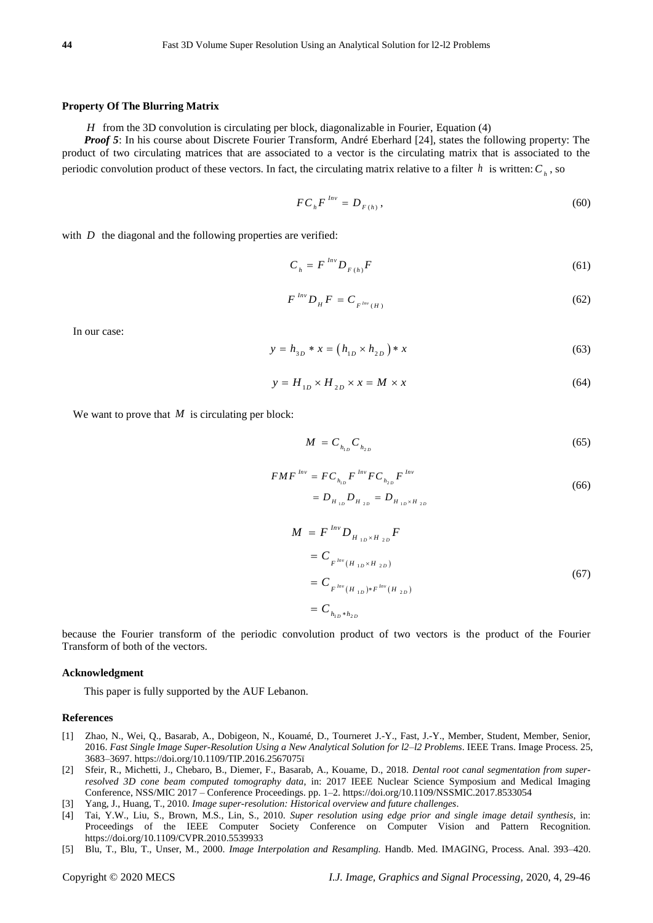#### **Property Of The Blurring Matrix**

*H* from the 3D convolution is circulating per block, diagonalizable in Fourier, Equation (4)

*Proof 5*: In his course about Discrete Fourier Transform, André Eberhard [24], states the following property: The product of two circulating matrices that are associated to a vector is the circulating matrix that is associated to the periodic convolution product of these vectors. In fact, the circulating matrix relative to a filter  $h$  is written:  $C_h$ , so

$$
FC_{h}F^{Inv} = D_{F(h)},
$$
\n(60)

with  $D$  the diagonal and the following properties are verified:

$$
C_h = F^{Inv} D_{F(h)} F \tag{61}
$$

$$
F^{Inv}D_{H}F = C_{F^{Inv}(H)}
$$
\n(62)

In our case:

$$
y = h_{3D} * x = (h_{1D} \times h_{2D}) * x \tag{63}
$$

$$
y = H_{1D} \times H_{2D} \times x = M \times x \tag{64}
$$

We want to prove that  $M$  is circulating per block:

$$
M = C_{h_{1D}} C_{h_{2D}} \tag{65}
$$

$$
F M F^{Inv} = F C_{h_{1D}} F^{Inv} F C_{h_{2D}} F^{Inv}
$$
  
=  $D_{H_{1D}} D_{H_{2D}} = D_{H_{1D} \times H_{2D}}$  (66)

$$
M = F^{Inv} D_{H_{1D} \times H_{2D}} F
$$
  
=  $C_{F^{Inv}(H_{1D} \times H_{2D})}$   
=  $C_{F^{Inv}(H_{1D}) \times F^{Inv}(H_{2D})}$   
=  $C_{h_{1D} \times h_{2D}}$  (67)

because the Fourier transform of the periodic convolution product of two vectors is the product of the Fourier Transform of both of the vectors.

#### **Acknowledgment**

This paper is fully supported by the AUF Lebanon.

## **References**

- [1] Zhao, N., Wei, Q., Basarab, A., Dobigeon, N., Kouamé, D., Tourneret J.-Y., Fast, J.-Y., Member, Student, Member, Senior, 2016. *Fast Single Image Super-Resolution Using a New Analytical Solution for l2–l2 Problems*. IEEE Trans. Image Process. 25, 3683–3697. https://doi.org/10.1109/TIP.2016.2567075ï
- [2] Sfeir, R., Michetti, J., Chebaro, B., Diemer, F., Basarab, A., Kouame, D., 2018. *Dental root canal segmentation from superresolved 3D cone beam computed tomography data*, in: 2017 IEEE Nuclear Science Symposium and Medical Imaging Conference, NSS/MIC 2017 – Conference Proceedings. pp. 1–2. https://doi.org/10.1109/NSSMIC.2017.8533054
- [3] Yang, J., Huang, T., 2010. *Image super-resolution: Historical overview and future challenges*.
- [4] Tai, Y.W., Liu, S., Brown, M.S., Lin, S., 2010. *Super resolution using edge prior and single image detail synthesis*, in: Proceedings of the IEEE Computer Society Conference on Computer Vision and Pattern Recognition. https://doi.org/10.1109/CVPR.2010.5539933
- [5] Blu, T., Blu, T., Unser, M., 2000. *Image Interpolation and Resampling.* Handb. Med. IMAGING, Process. Anal. 393–420.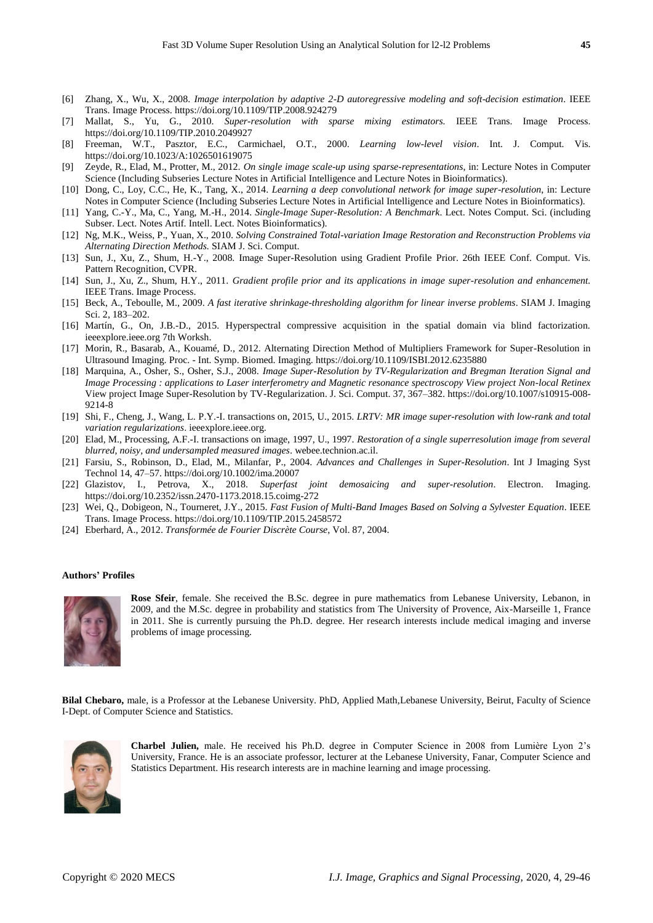- [6] Zhang, X., Wu, X., 2008. *Image interpolation by adaptive 2-D autoregressive modeling and soft-decision estimation*. IEEE Trans. Image Process. https://doi.org/10.1109/TIP.2008.924279
- [7] Mallat, S., Yu, G., 2010. *Super-resolution with sparse mixing estimators.* IEEE Trans. Image Process. https://doi.org/10.1109/TIP.2010.2049927
- [8] Freeman, W.T., Pasztor, E.C., Carmichael, O.T., 2000. *Learning low-level vision*. Int. J. Comput. Vis. https://doi.org/10.1023/A:1026501619075
- [9] Zeyde, R., Elad, M., Protter, M., 2012. *On single image scale-up using sparse-representations*, in: Lecture Notes in Computer Science (Including Subseries Lecture Notes in Artificial Intelligence and Lecture Notes in Bioinformatics).
- [10] Dong, C., Loy, C.C., He, K., Tang, X., 2014. *Learning a deep convolutional network for image super-resolution*, in: Lecture Notes in Computer Science (Including Subseries Lecture Notes in Artificial Intelligence and Lecture Notes in Bioinformatics).
- [11] Yang, C.-Y., Ma, C., Yang, M.-H., 2014. *Single-Image Super-Resolution: A Benchmark*. Lect. Notes Comput. Sci. (including Subser. Lect. Notes Artif. Intell. Lect. Notes Bioinformatics).
- [12] Ng, M.K., Weiss, P., Yuan, X., 2010. *Solving Constrained Total-variation Image Restoration and Reconstruction Problems via Alternating Direction Methods.* SIAM J. Sci. Comput.
- [13] Sun, J., Xu, Z., Shum, H.-Y., 2008. Image Super-Resolution using Gradient Profile Prior. 26th IEEE Conf. Comput. Vis. Pattern Recognition, CVPR.
- [14] Sun, J., Xu, Z., Shum, H.Y., 2011. *Gradient profile prior and its applications in image super-resolution and enhancement.*  IEEE Trans. Image Process.
- [15] Beck, A., Teboulle, M., 2009. *A fast iterative shrinkage-thresholding algorithm for linear inverse problems*. SIAM J. Imaging Sci. 2, 183–202.
- [16] Mart n, G., On, J.B.-D., 2015. Hyperspectral compressive acquisition in the spatial domain via blind factorization. ieeexplore.ieee.org 7th Worksh.
- [17] Morin, R., Basarab, A., Kouamé, D., 2012. Alternating Direction Method of Multipliers Framework for Super-Resolution in Ultrasound Imaging. Proc. - Int. Symp. Biomed. Imaging. https://doi.org/10.1109/ISBI.2012.6235880
- [18] Marquina, A., Osher, S., Osher, S.J., 2008. *Image Super-Resolution by TV-Regularization and Bregman Iteration Signal and Image Processing : applications to Laser interferometry and Magnetic resonance spectroscopy View project Non-local Retinex*  View project Image Super-Resolution by TV-Regularization. J. Sci. Comput. 37, 367–382. https://doi.org/10.1007/s10915-008- 9214-8
- [19] Shi, F., Cheng, J., Wang, L. P.Y.-I. transactions on, 2015, U., 2015. *LRTV: MR image super-resolution with low-rank and total variation regularizations*. ieeexplore.ieee.org.
- [20] Elad, M., Processing, A.F.-I. transactions on image, 1997, U., 1997. *Restoration of a single superresolution image from several blurred, noisy, and undersampled measured images*. webee.technion.ac.il.
- [21] Farsiu, S., Robinson, D., Elad, M., Milanfar, P., 2004. *Advances and Challenges in Super-Resolution*. Int J Imaging Syst Technol 14, 47–57. https://doi.org/10.1002/ima.20007
- [22] Glazistov, I., Petrova, X., 2018. *Superfast joint demosaicing and super-resolution*. Electron. Imaging. https://doi.org/10.2352/issn.2470-1173.2018.15.coimg-272
- [23] Wei, Q., Dobigeon, N., Tourneret, J.Y., 2015. *Fast Fusion of Multi-Band Images Based on Solving a Sylvester Equation*. IEEE Trans. Image Process. https://doi.org/10.1109/TIP.2015.2458572
- [24] Eberhard, A., 2012. *Transformée de Fourier Discrète Course*, Vol. 87, 2004.

## **Authors' Profiles**



**Rose Sfeir**, female. She received the B.Sc. degree in pure mathematics from Lebanese University, Lebanon, in 2009, and the M.Sc. degree in probability and statistics from The University of Provence, Aix-Marseille 1, France in 2011. She is currently pursuing the Ph.D. degree. Her research interests include medical imaging and inverse problems of image processing.

**Bilal Chebaro,** male, is a Professor at the Lebanese University. PhD, Applied Math,Lebanese University, Beirut, Faculty of Science I-Dept. of Computer Science and Statistics.



**Charbel Julien,** male. He received his Ph.D. degree in Computer Science in 2008 from Lumière Lyon 2's University, France. He is an associate professor, lecturer at the Lebanese University, Fanar, Computer Science and Statistics Department. His research interests are in machine learning and image processing.